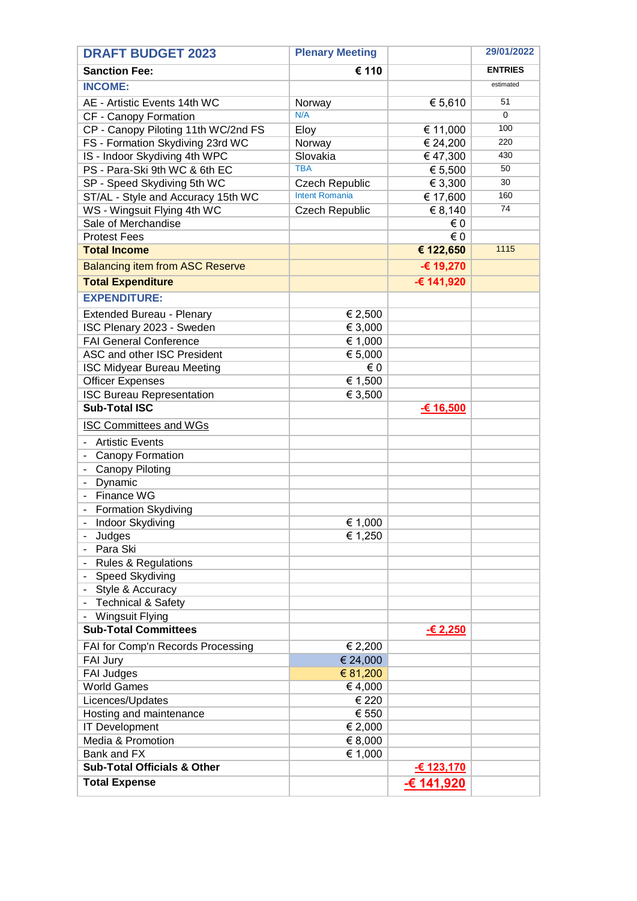| <b>DRAFT BUDGET 2023</b>               | <b>Plenary Meeting</b> |             | 29/01/2022     |
|----------------------------------------|------------------------|-------------|----------------|
| <b>Sanction Fee:</b>                   | € 110                  |             | <b>ENTRIES</b> |
| <b>INCOME:</b>                         |                        |             | estimated      |
| AE - Artistic Events 14th WC           | Norway                 | € 5,610     | 51             |
| CF - Canopy Formation                  | N/A                    |             | 0              |
| CP - Canopy Piloting 11th WC/2nd FS    | Eloy                   | € 11,000    | 100            |
| FS - Formation Skydiving 23rd WC       | Norway                 | € 24,200    | 220            |
| IS - Indoor Skydiving 4th WPC          | Slovakia               | €47,300     | 430            |
| PS - Para-Ski 9th WC & 6th EC          | <b>TBA</b>             | € 5,500     | 50             |
| SP - Speed Skydiving 5th WC            | <b>Czech Republic</b>  | € 3,300     | 30             |
| ST/AL - Style and Accuracy 15th WC     | <b>Intent Romania</b>  | € 17,600    | 160            |
| WS - Wingsuit Flying 4th WC            | <b>Czech Republic</b>  | € 8,140     | 74             |
| Sale of Merchandise                    |                        | € 0         |                |
| <b>Protest Fees</b>                    |                        | € 0         |                |
| <b>Total Income</b>                    |                        | € 122,650   | 1115           |
| <b>Balancing item from ASC Reserve</b> |                        | -€ 19,270   |                |
| <b>Total Expenditure</b>               |                        | € 141,920   |                |
| <b>EXPENDITURE:</b>                    |                        |             |                |
| Extended Bureau - Plenary              | € 2,500                |             |                |
| ISC Plenary 2023 - Sweden              | € 3,000                |             |                |
| <b>FAI General Conference</b>          | € 1,000                |             |                |
| ASC and other ISC President            | € 5,000                |             |                |
| <b>ISC Midyear Bureau Meeting</b>      | €0                     |             |                |
| <b>Officer Expenses</b>                | € 1,500                |             |                |
| <b>ISC Bureau Representation</b>       | € 3,500                |             |                |
| <b>Sub-Total ISC</b>                   |                        | $-€ 16,500$ |                |
| <b>ISC Committees and WGs</b>          |                        |             |                |
| <b>Artistic Events</b>                 |                        |             |                |
| Canopy Formation                       |                        |             |                |
| Canopy Piloting                        |                        |             |                |
| Dynamic                                |                        |             |                |
| Finance WG                             |                        |             |                |
| <b>Formation Skydiving</b>             |                        |             |                |
| Indoor Skydiving                       | € 1,000                |             |                |
| Judges                                 | € 1,250                |             |                |
| Para Ski                               |                        |             |                |
| <b>Rules &amp; Regulations</b>         |                        |             |                |
| - Speed Skydiving                      |                        |             |                |
| - Style & Accuracy                     |                        |             |                |
| <b>Technical &amp; Safety</b>          |                        |             |                |
| <b>Wingsuit Flying</b>                 |                        |             |                |
| <b>Sub-Total Committees</b>            |                        | $-62,250$   |                |
| FAI for Comp'n Records Processing      | € 2,200                |             |                |
| FAI Jury                               | € 24,000               |             |                |
| <b>FAI Judges</b>                      | € 81,200               |             |                |
| <b>World Games</b>                     | €4,000                 |             |                |
| Licences/Updates                       | € 220                  |             |                |
| Hosting and maintenance                | € 550                  |             |                |
| <b>IT Development</b>                  | € 2,000                |             |                |
| Media & Promotion                      | € 8,000                |             |                |
| Bank and FX                            | € 1,000                |             |                |
| <b>Sub-Total Officials &amp; Other</b> |                        | -€ 123,170  |                |
| <b>Total Expense</b>                   |                        | -€ 141,920  |                |